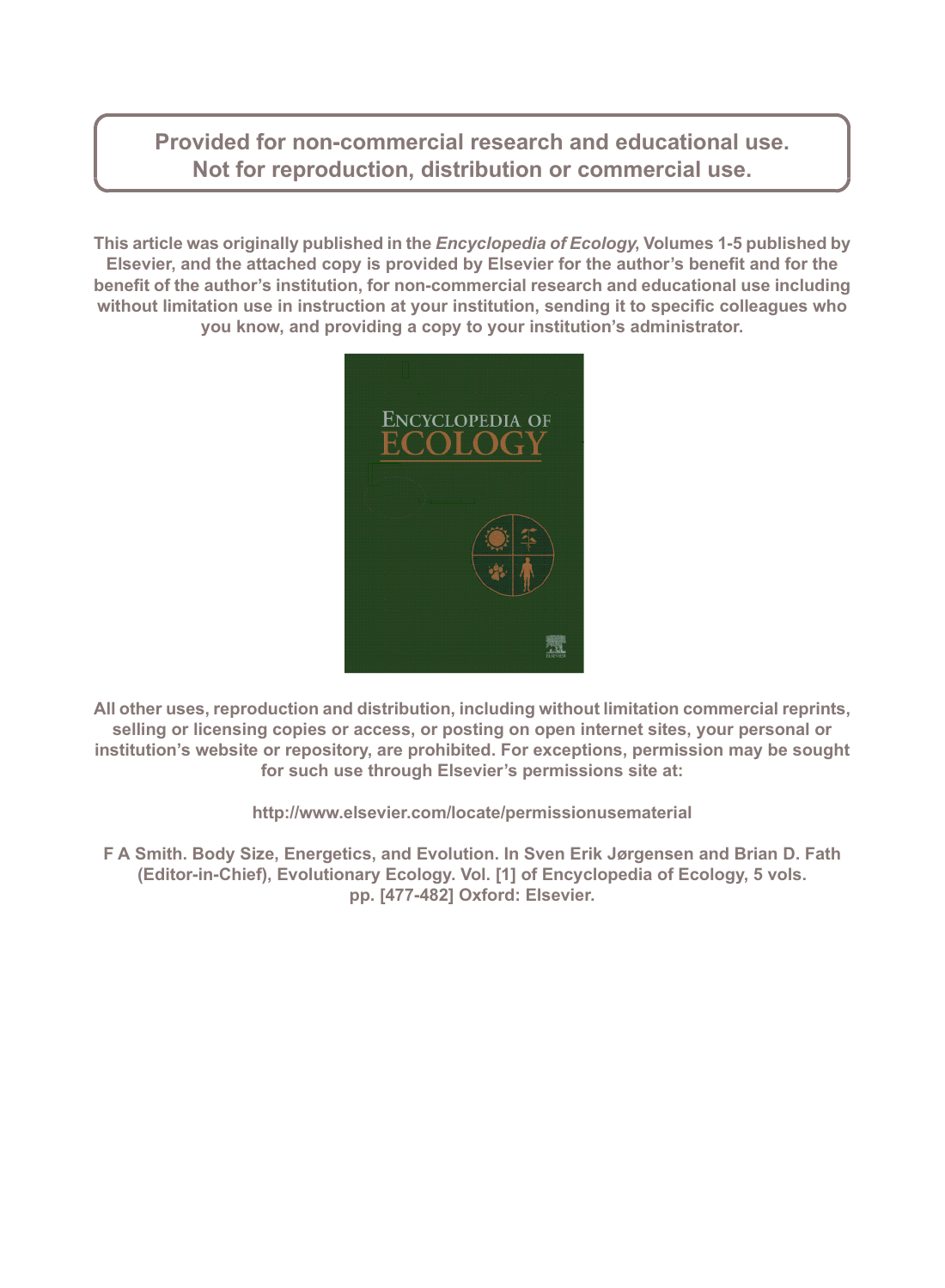Provided for non-commercial research and educational use. Not for reproduction, distribution or commercial use.

This article was originally published in the *Encyclopedia of Ecology*, Volumes 1-5 published by Elsevier, and the attached copy is provided by Elsevier for the author's benefit and for the benefit of the author's institution, for non-commercial research and educational use including without limitation use in instruction at your institution, sending it to specific colleagues who you know, and providing a copy to your institution's administrator.



All other uses, reproduction and distribution, including without limitation commercial reprints, selling or licensing copies or access, or posting on open internet sites, your personal or institution's website or repository, are prohibited. For exceptions, permission may be sought for such use through Elsevier's permissions site at:

http://www.elsevier.com/locate/permissionusematerial

F A Smith. Body Size, Energetics, and Evolution. In Sven Erik Jørgensen and Brian D. Fath (Editor-in-Chief), Evolutionary Ecology. Vol. [1] of Encyclopedia of Ecology, 5 vols. pp. [477-482] Oxford: Elsevier.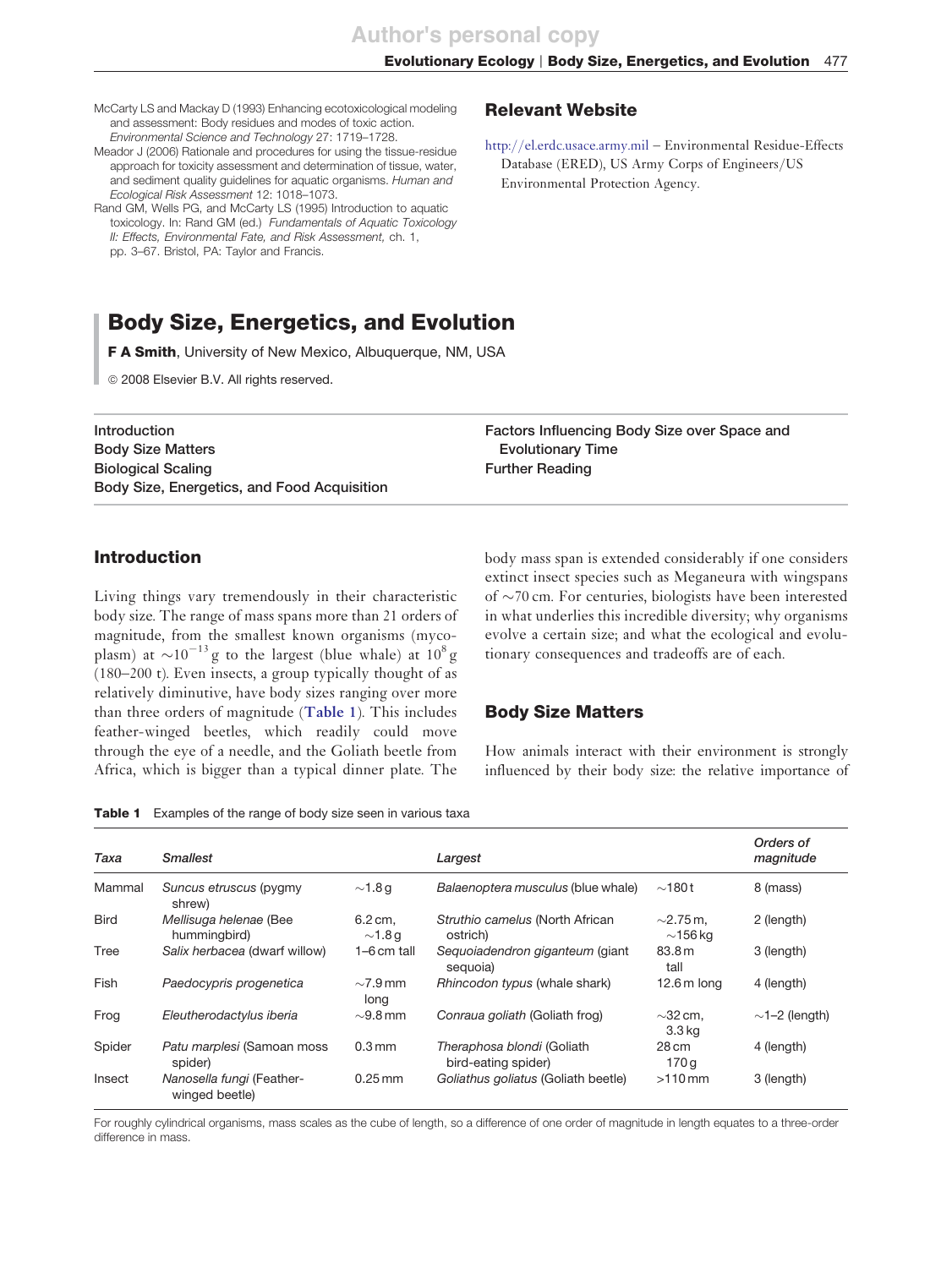### Evolutionary Ecology | Body Size, Energetics, and Evolution 477

McCarty LS and Mackay D (1993) Enhancing ecotoxicological modeling and assessment: Body residues and modes of toxic action. Environmental Science and Technology 27: 1719–1728.

Meador J (2006) Rationale and procedures for using the tissue-residue approach for toxicity assessment and determination of tissue, water, and sediment quality guidelines for aquatic organisms. Human and Ecological Risk Assessment 12: 1018–1073.

Rand GM, Wells PG, and McCarty LS (1995) Introduction to aquatic toxicology. In: Rand GM (ed.) Fundamentals of Aquatic Toxicology II: Effects, Environmental Fate, and Risk Assessment, ch. 1, pp. 3–67. Bristol, PA: Taylor and Francis.

### Relevant Website

http://el.erdc.usace.army.mil – Environmental Residue-Effects Database (ERED), US Army Corps of Engineers/US Environmental Protection Agency.

# Body Size, Energetics, and Evolution

F A Smith, University of New Mexico, Albuquerque, NM, USA

© 2008 Elsevier B.V. All rights reserved.

Introduction Body Size Matters Biological Scaling Body Size, Energetics, and Food Acquisition Factors Influencing Body Size over Space and Evolutionary Time Further Reading

## Introduction

Living things vary tremendously in their characteristic body size. The range of mass spans more than 21 orders of magnitude, from the smallest known organisms (mycoplasm) at  $\sim 10^{-13}$  g to the largest (blue whale) at  $10^8$  g (180–200 t). Even insects, a group typically thought of as relatively diminutive, have body sizes ranging over more than three orders of magnitude (**[Table 1](#page-1-0)**). This includes feather-winged beetles, which readily could move through the eye of a needle, and the Goliath beetle from Africa, which is bigger than a typical dinner plate. The

body mass span is extended considerably if one considers extinct insect species such as Meganeura with wingspans of  $\sim$ 70 cm. For centuries, biologists have been interested in what underlies this incredible diversity; why organisms evolve a certain size; and what the ecological and evolutionary consequences and tradeoffs are of each.

### Body Size Matters

How animals interact with their environment is strongly influenced by their body size: the relative importance of

Table 1 Examples of the range of body size seen in various taxa

| Taxa        | <b>Smallest</b>                             |                         | Largest                                           |                                 | Orders of<br>magnitude |
|-------------|---------------------------------------------|-------------------------|---------------------------------------------------|---------------------------------|------------------------|
| Mammal      | Suncus etruscus (pygmy<br>shrew)            | $\sim$ 1.8 g            | Balaenoptera musculus (blue whale)                | $\sim$ 180t                     | 8 (mass)               |
| <b>Bird</b> | Mellisuga helenae (Bee<br>hummingbird)      | 6.2 cm,<br>$\sim$ 1.8 g | Struthio camelus (North African<br>ostrich)       | $\sim$ 2.75 m.<br>$\sim$ 156 kg | 2 (length)             |
| Tree        | Salix herbacea (dwarf willow)               | $1-6$ cm tall           | Sequoiadendron giganteum (giant<br>sequoia)       | 83.8 m<br>tall                  | 3 (length)             |
| Fish        | Paedocypris progenetica                     | $\sim$ 7.9 mm<br>long   | Rhincodon typus (whale shark)                     | $12.6m$ long                    | 4 (length)             |
| Frog        | Eleutherodactylus iberia                    | $\sim$ 9.8 mm           | Conraua goliath (Goliath frog)                    | $\sim$ 32 cm.<br>3.3 kg         | $\sim$ 1–2 (length)    |
| Spider      | Patu marplesi (Samoan moss<br>spider)       | $0.3 \,\mathrm{mm}$     | Theraphosa blondi (Goliath<br>bird-eating spider) | 28 cm<br>170 g                  | 4 (length)             |
| Insect      | Nanosella fungi (Feather-<br>winged beetle) | $0.25$ mm               | Goliathus goliatus (Goliath beetle)               | $>110$ mm                       | 3 (length)             |

<span id="page-1-0"></span>For roughly cylindrical organisms, mass scales as the cube of length, so a difference of one order of magnitude in length equates to a three-order difference in mass.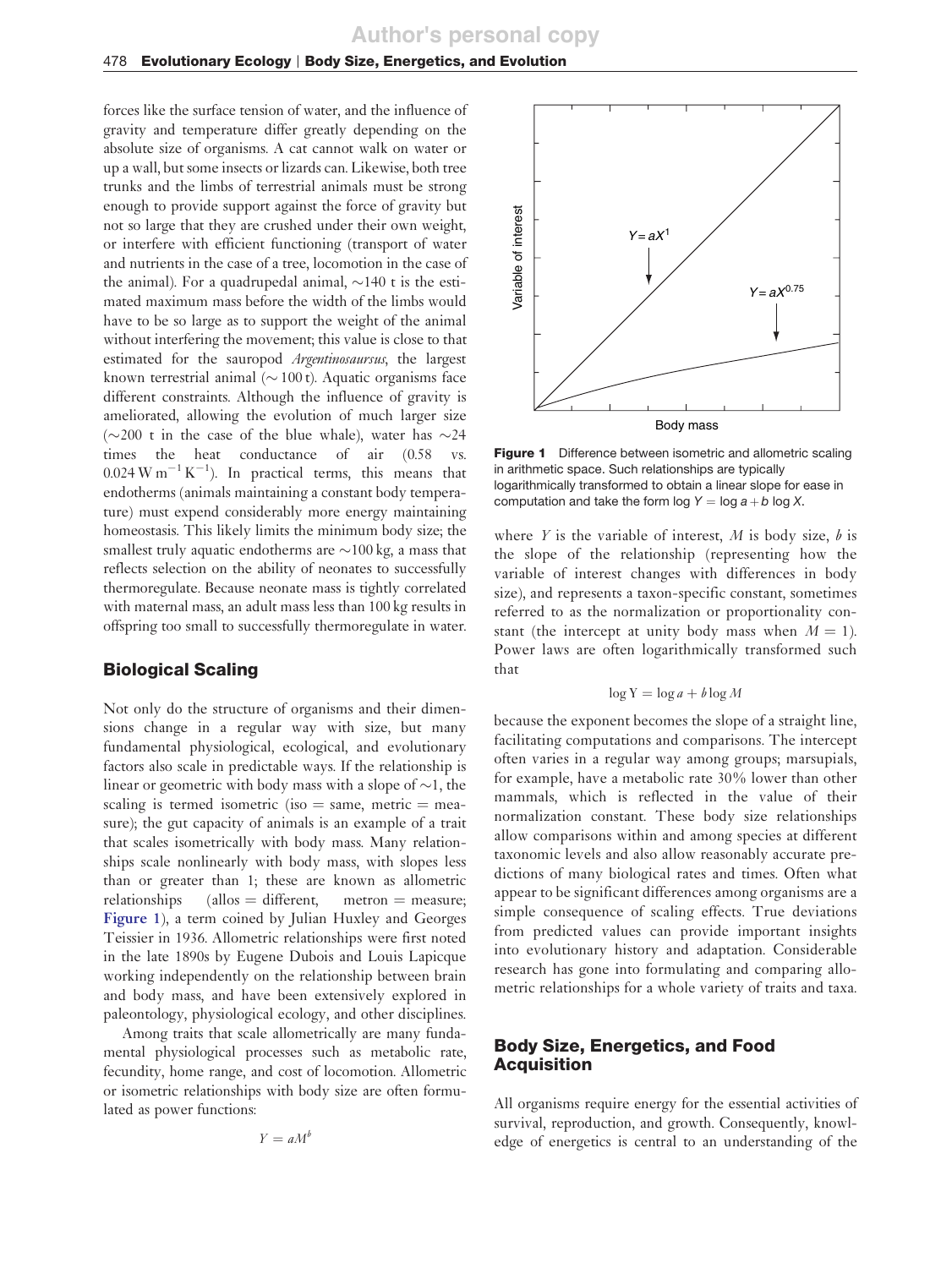### 478 Evolutionary Ecology | Body Size, Energetics, and Evolution

forces like the surface tension of water, and the influence of gravity and temperature differ greatly depending on the absolute size of organisms. A cat cannot walk on water or up a wall, but some insects or lizards can. Likewise, both tree trunks and the limbs of terrestrial animals must be strong enough to provide support against the force of gravity but not so large that they are crushed under their own weight, or interfere with efficient functioning (transport of water and nutrients in the case of a tree, locomotion in the case of the animal). For a quadrupedal animal,  $\sim$ 140 t is the estimated maximum mass before the width of the limbs would have to be so large as to support the weight of the animal without interfering the movement; this value is close to that estimated for the sauropod *Argentinosaursus*, the largest known terrestrial animal ( $\sim$  100 t). Aquatic organisms face different constraints. Although the influence of gravity is ameliorated, allowing the evolution of much larger size ( $\sim$ 200 t in the case of the blue whale), water has  $\sim$  24 times the heat conductance of air (0.58 vs times the heat conductance of air  $(0.58)$  $0.024$  W m<sup>-1</sup> K<sup>-1</sup>). In practical terms, this means that endotherms (animals maintaining a constant body temperature) must expend considerably more energy maintaining homeostasis. This likely limits the minimum body size; the smallest truly aquatic endotherms are  $\sim$ 100 kg, a mass that reflects selection on the ability of neonates to successfully thermoregulate. Because neonate mass is tightly correlated with maternal mass, an adult mass less than 100 kg results in offspring too small to successfully thermoregulate in water.

### Biological Scaling

Not only do the structure of organisms and their dimensions change in a regular way with size, but many fundamental physiological, ecological, and evolutionary factors also scale in predictable ways. If the relationship is linear or geometric with body mass with a slope of  $\sim$ 1, the scaling is termed isometric (iso  $=$  same, metric  $=$  measure); the gut capacity of animals is an example of a trait that scales isometrically with body mass. Many relationships scale nonlinearly with body mass, with slopes less than or greater than 1; these are known as allometric relationships (allos  $=$  different, metron  $=$  measure; **[Figure 1](#page-2-0)**), a term coined by Julian Huxley and Georges Teissier in 1936. Allometric relationships were first noted in the late 1890s by Eugene Dubois and Louis Lapicque working independently on the relationship between brain and body mass, and have been extensively explored in paleontology, physiological ecology, and other disciplines.

<span id="page-2-0"></span>Among traits that scale allometrically are many fundamental physiological processes such as metabolic rate, fecundity, home range, and cost of locomotion. Allometric or isometric relationships with body size are often formulated as power functions:

$$
Y = aM^b
$$



**Figure 1** Difference between isometric and allometric scaling in arithmetic space. Such relationships are typically logarithmically transformed to obtain a linear slope for ease in computation and take the form log  $Y = \log a + b \log X$ .

where *Y* is the variable of interest, *M* is body size, *b* is the slope of the relationship (representing how the variable of interest changes with differences in body size), and represents a taxon-specific constant, sometimes referred to as the normalization or proportionality constant (the intercept at unity body mass when  $M = 1$ ). Power laws are often logarithmically transformed such that

$$
\log Y = \log a + b \log M
$$

because the exponent becomes the slope of a straight line, facilitating computations and comparisons. The intercept often varies in a regular way among groups; marsupials, for example, have a metabolic rate 30% lower than other mammals, which is reflected in the value of their normalization constant. These body size relationships allow comparisons within and among species at different taxonomic levels and also allow reasonably accurate predictions of many biological rates and times. Often what appear to be significant differences among organisms are a simple consequence of scaling effects. True deviations from predicted values can provide important insights into evolutionary history and adaptation. Considerable research has gone into formulating and comparing allometric relationships for a whole variety of traits and taxa.

### Body Size, Energetics, and Food **Acquisition**

All organisms require energy for the essential activities of survival, reproduction, and growth. Consequently, knowledge of energetics is central to an understanding of the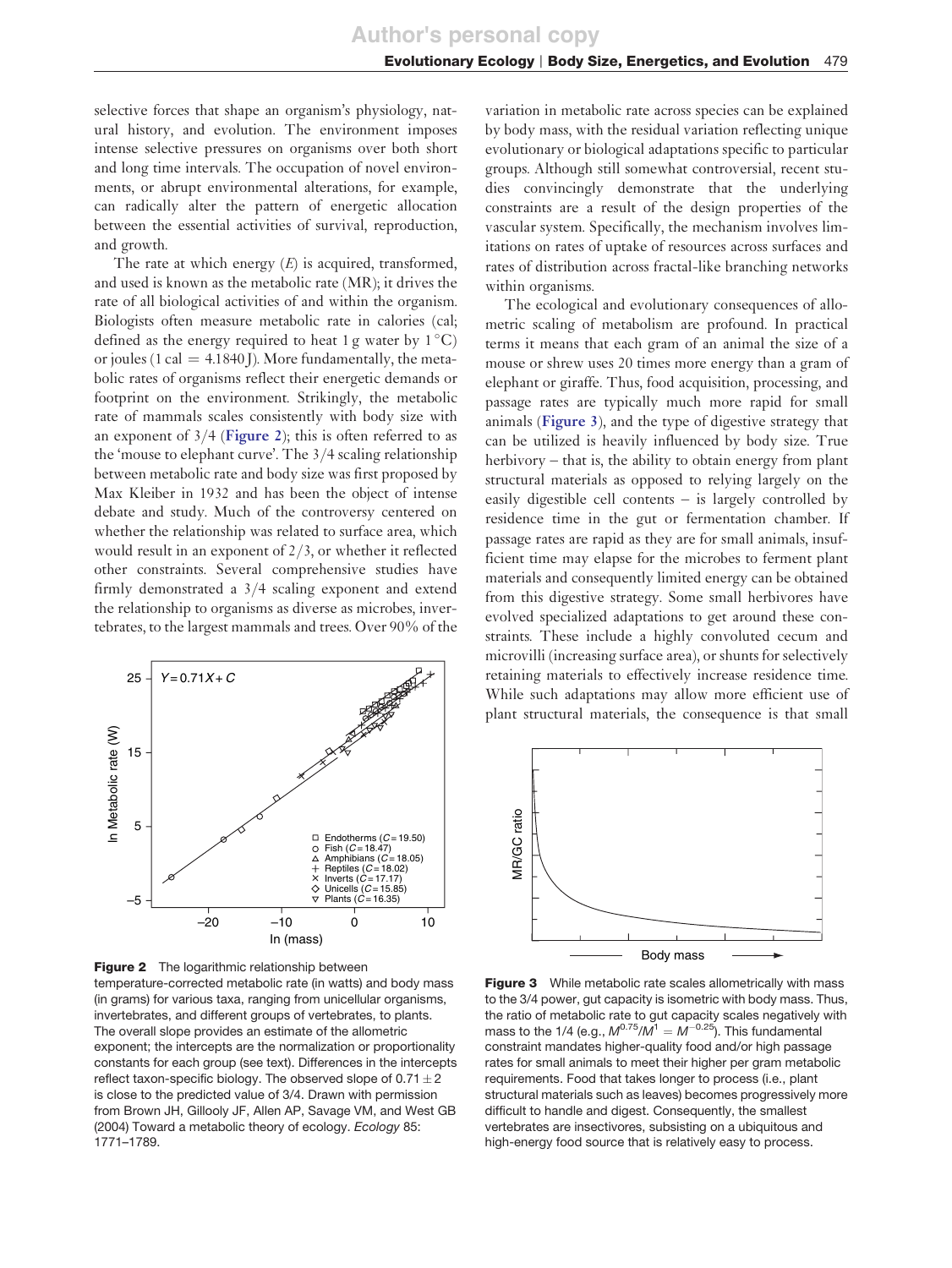selective forces that shape an organism's physiology, natural history, and evolution. The environment imposes intense selective pressures on organisms over both short and long time intervals. The occupation of novel environments, or abrupt environmental alterations, for example, can radically alter the pattern of energetic allocation between the essential activities of survival, reproduction, and growth.

The rate at which energy (*E*) is acquired, transformed, and used is known as the metabolic rate (MR); it drives the rate of all biological activities of and within the organism. Biologists often measure metabolic rate in calories (cal; defined as the energy required to heat 1 g water by  $1^{\circ}$ C) or joules (1 cal  $=$  4.1840 J). More fundamentally, the metabolic rates of organisms reflect their energetic demands or footprint on the environment. Strikingly, the metabolic rate of mammals scales consistently with body size with an exponent of 3/4 (**[Figure 2](#page-3-0)**); this is often referred to as the 'mouse to elephant curve'. The 3/4 scaling relationship between metabolic rate and body size was first proposed by Max Kleiber in 1932 and has been the object of intense debate and study. Much of the controversy centered on whether the relationship was related to surface area, which would result in an exponent of 2/3, or whether it reflected other constraints. Several comprehensive studies have firmly demonstrated a 3/4 scaling exponent and extend the relationship to organisms as diverse as microbes, invertebrates, to the largest mammals and trees. Over 90% of the



<span id="page-3-0"></span>Figure 2 The logarithmic relationship between temperature-corrected metabolic rate (in watts) and body mass (in grams) for various taxa, ranging from unicellular organisms, invertebrates, and different groups of vertebrates, to plants. The overall slope provides an estimate of the allometric exponent; the intercepts are the normalization or proportionality constants for each group (see text). Differences in the intercepts reflect taxon-specific biology. The observed slope of  $0.71 \pm 2$ is close to the predicted value of 3/4. Drawn with permission from Brown JH, Gillooly JF, Allen AP, Savage VM, and West GB (2004) Toward a metabolic theory of ecology. Ecology 85: 1771–1789.

variation in metabolic rate across species can be explained by body mass, with the residual variation reflecting unique evolutionary or biological adaptations specific to particular groups. Although still somewhat controversial, recent studies convincingly demonstrate that the underlying constraints are a result of the design properties of the vascular system. Specifically, the mechanism involves limitations on rates of uptake of resources across surfaces and rates of distribution across fractal-like branching networks within organisms.

The ecological and evolutionary consequences of allometric scaling of metabolism are profound. In practical terms it means that each gram of an animal the size of a mouse or shrew uses 20 times more energy than a gram of elephant or giraffe. Thus, food acquisition, processing, and passage rates are typically much more rapid for small animals (**[Figure 3](#page-3-0)**), and the type of digestive strategy that can be utilized is heavily influenced by body size. True herbivory – that is, the ability to obtain energy from plant structural materials as opposed to relying largely on the easily digestible cell contents – is largely controlled by residence time in the gut or fermentation chamber. If passage rates are rapid as they are for small animals, insufficient time may elapse for the microbes to ferment plant materials and consequently limited energy can be obtained from this digestive strategy. Some small herbivores have evolved specialized adaptations to get around these constraints. These include a highly convoluted cecum and microvilli (increasing surface area), or shunts for selectively retaining materials to effectively increase residence time. While such adaptations may allow more efficient use of plant structural materials, the consequence is that small



Figure 3 While metabolic rate scales allometrically with mass to the 3/4 power, gut capacity is isometric with body mass. Thus, the ratio of metabolic rate to gut capacity scales negatively with mass to the 1/4 (e.g.,  $M^{0.75}/M^{1} = M^{-0.25}$ ). This fundamental constraint mandates higher-quality food and/or high passage rates for small animals to meet their higher per gram metabolic requirements. Food that takes longer to process (i.e., plant structural materials such as leaves) becomes progressively more difficult to handle and digest. Consequently, the smallest vertebrates are insectivores, subsisting on a ubiquitous and high-energy food source that is relatively easy to process.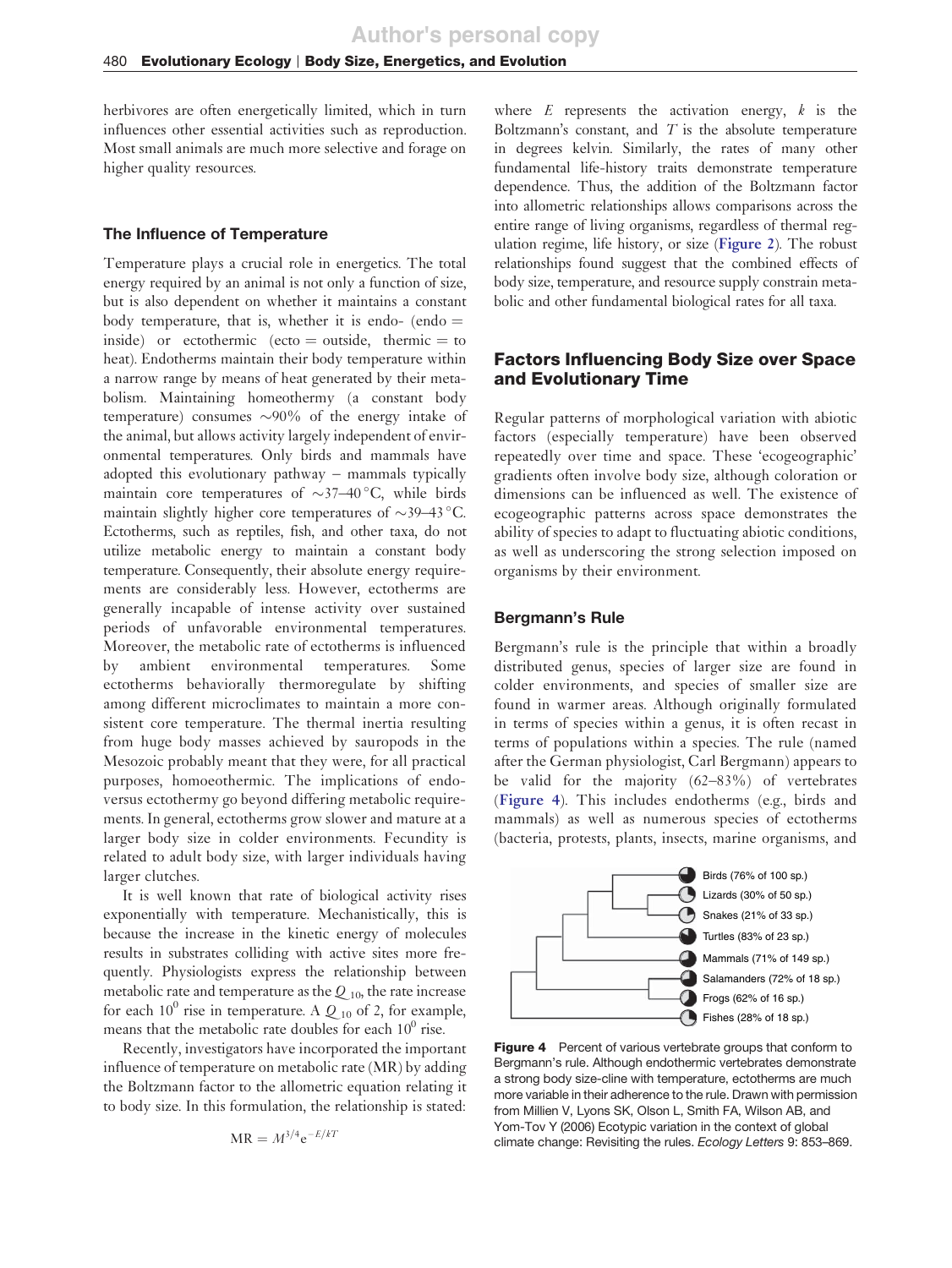herbivores are often energetically limited, which in turn influences other essential activities such as reproduction. Most small animals are much more selective and forage on higher quality resources.

#### The Influence of Temperature

Temperature plays a crucial role in energetics. The total energy required by an animal is not only a function of size, but is also dependent on whether it maintains a constant body temperature, that is, whether it is endo- (endo  $=$ inside) or ectothermic (ecto  $=$  outside, thermic  $=$  to heat). Endotherms maintain their body temperature within a narrow range by means of heat generated by their metabolism. Maintaining homeothermy (a constant body temperature) consumes  $\sim 90\%$  of the energy intake of the animal, but allows activity largely independent of environmental temperatures. Only birds and mammals have adopted this evolutionary pathway – mammals typically maintain core temperatures of  $\sim$ 37–40 °C, while birds maintain slightly higher core temperatures of  $\sim$ 39–43 °C. Ectotherms, such as reptiles, fish, and other taxa, do not utilize metabolic energy to maintain a constant body temperature. Consequently, their absolute energy requirements are considerably less. However, ectotherms are generally incapable of intense activity over sustained periods of unfavorable environmental temperatures. Moreover, the metabolic rate of ectotherms is influenced by ambient environmental temperatures. Some ectotherms behaviorally thermoregulate by shifting among different microclimates to maintain a more consistent core temperature. The thermal inertia resulting from huge body masses achieved by sauropods in the Mesozoic probably meant that they were, for all practical purposes, homoeothermic. The implications of endoversus ectothermy go beyond differing metabolic requirements. In general, ectotherms grow slower and mature at a larger body size in colder environments. Fecundity is related to adult body size, with larger individuals having larger clutches.

It is well known that rate of biological activity rises exponentially with temperature. Mechanistically, this is because the increase in the kinetic energy of molecules results in substrates colliding with active sites more frequently. Physiologists express the relationship between metabolic rate and temperature as the  $Q_{10}$ , the rate increase for each  $10^0$  rise in temperature. A  $Q_{10}$  of 2, for example, means that the metabolic rate doubles for each  $10^0$  rise.

<span id="page-4-0"></span>Recently, investigators have incorporated the important influence of temperature on metabolic rate (MR) by adding the Boltzmann factor to the allometric equation relating it to body size. In this formulation, the relationship is stated:

$$
MR = M^{3/4}e^{-E/kT}
$$

where  $E$  represents the activation energy,  $k$  is the Boltzmann's constant, and *T* is the absolute temperature in degrees kelvin. Similarly, the rates of many other fundamental life-history traits demonstrate temperature dependence. Thus, the addition of the Boltzmann factor into allometric relationships allows comparisons across the entire range of living organisms, regardless of thermal regulation regime, life history, or size (**[Figure 2](#page-3-0)**). The robust relationships found suggest that the combined effects of body size, temperature, and resource supply constrain metabolic and other fundamental biological rates for all taxa.

### Factors Influencing Body Size over Space and Evolutionary Time

Regular patterns of morphological variation with abiotic factors (especially temperature) have been observed repeatedly over time and space. These 'ecogeographic' gradients often involve body size, although coloration or dimensions can be influenced as well. The existence of ecogeographic patterns across space demonstrates the ability of species to adapt to fluctuating abiotic conditions, as well as underscoring the strong selection imposed on organisms by their environment.

### Bergmann's Rule

Bergmann's rule is the principle that within a broadly distributed genus, species of larger size are found in colder environments, and species of smaller size are found in warmer areas. Although originally formulated in terms of species within a genus, it is often recast in terms of populations within a species. The rule (named after the German physiologist, Carl Bergmann) appears to be valid for the majority (62–83%) of vertebrates (**[Figure 4](#page-4-0)**). This includes endotherms (e.g., birds and mammals) as well as numerous species of ectotherms (bacteria, protests, plants, insects, marine organisms, and



**Figure 4** Percent of various vertebrate groups that conform to Bergmann's rule. Although endothermic vertebrates demonstrate a strong body size-cline with temperature, ectotherms are much more variable in their adherence to the rule. Drawn with permission from Millien V, Lyons SK, Olson L, Smith FA, Wilson AB, and Yom-Tov Y (2006) Ecotypic variation in the context of global climate change: Revisiting the rules. Ecology Letters 9: 853–869.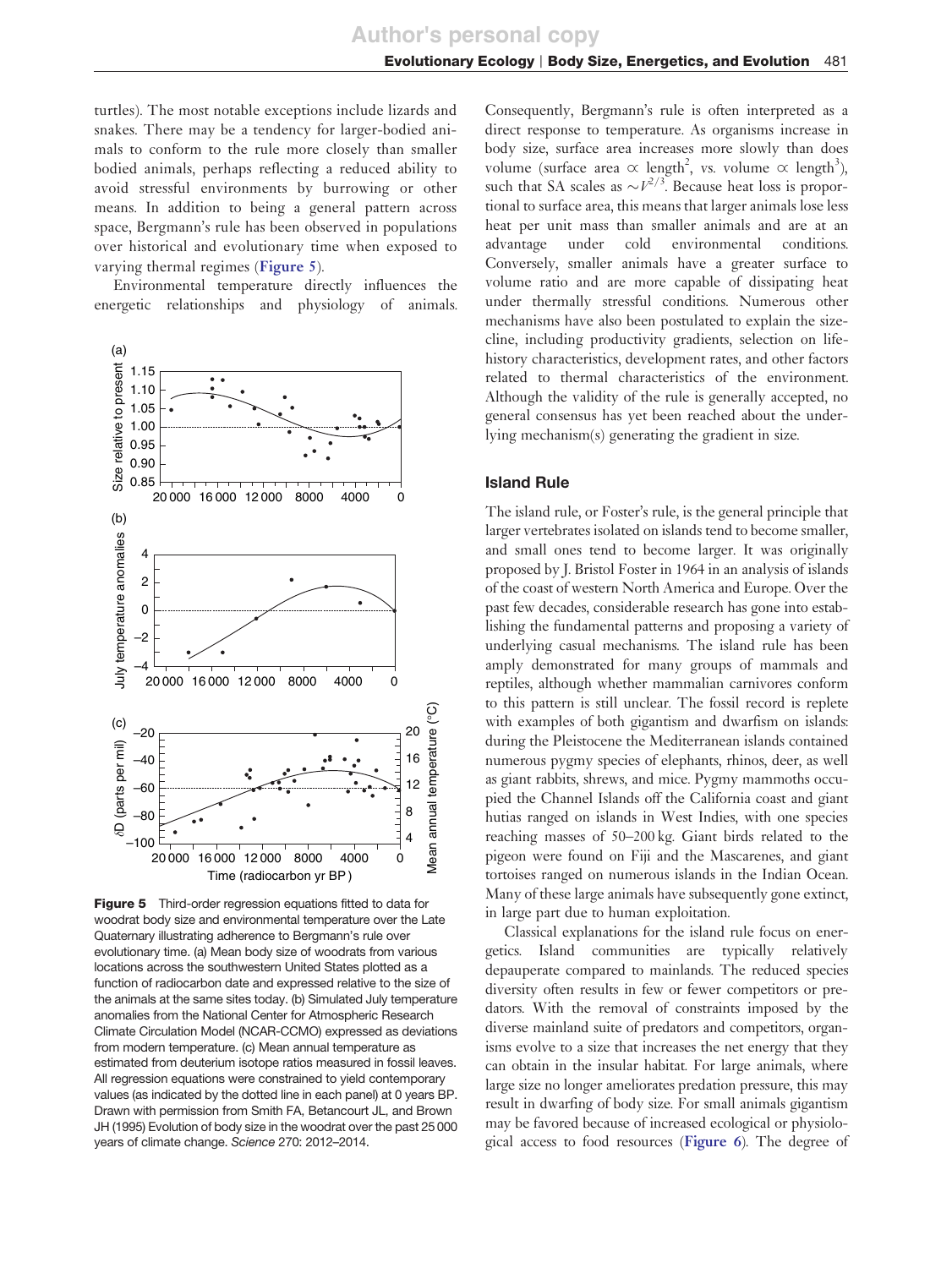turtles). The most notable exceptions include lizards and snakes. There may be a tendency for larger-bodied animals to conform to the rule more closely than smaller bodied animals, perhaps reflecting a reduced ability to avoid stressful environments by burrowing or other means. In addition to being a general pattern across space, Bergmann's rule has been observed in populations over historical and evolutionary time when exposed to varying thermal regimes (**[Figure 5](#page-5-0)**).

Environmental temperature directly influences the energetic relationships and physiology of animals.



<span id="page-5-0"></span>**Figure 5** Third-order regression equations fitted to data for woodrat body size and environmental temperature over the Late Quaternary illustrating adherence to Bergmann's rule over evolutionary time. (a) Mean body size of woodrats from various locations across the southwestern United States plotted as a function of radiocarbon date and expressed relative to the size of the animals at the same sites today. (b) Simulated July temperature anomalies from the National Center for Atmospheric Research Climate Circulation Model (NCAR-CCMO) expressed as deviations from modern temperature. (c) Mean annual temperature as estimated from deuterium isotope ratios measured in fossil leaves. All regression equations were constrained to yield contemporary values (as indicated by the dotted line in each panel) at 0 years BP. Drawn with permission from Smith FA, Betancourt JL, and Brown JH (1995) Evolution of body size in the woodrat over the past 25 000 years of climate change. Science 270: 2012–2014.

Consequently, Bergmann's rule is often interpreted as a direct response to temperature. As organisms increase in body size, surface area increases more slowly than does volume (surface area  $\alpha$  length<sup>2</sup>, vs. volume  $\alpha$  length<sup>3</sup>), such that SA scales as  $\sim V^{2/3}$ . Because heat loss is proportional to surface area, this means that larger animals lose less heat per unit mass than smaller animals and are at an advantage under cold environmental conditions. Conversely, smaller animals have a greater surface to volume ratio and are more capable of dissipating heat under thermally stressful conditions. Numerous other mechanisms have also been postulated to explain the sizecline, including productivity gradients, selection on lifehistory characteristics, development rates, and other factors related to thermal characteristics of the environment. Although the validity of the rule is generally accepted, no general consensus has yet been reached about the underlying mechanism(s) generating the gradient in size.

#### Island Rule

The island rule, or Foster's rule, is the general principle that larger vertebrates isolated on islands tend to become smaller, and small ones tend to become larger. It was originally proposed by J. Bristol Foster in 1964 in an analysis of islands of the coast of western North America and Europe. Over the past few decades, considerable research has gone into establishing the fundamental patterns and proposing a variety of underlying casual mechanisms. The island rule has been amply demonstrated for many groups of mammals and reptiles, although whether mammalian carnivores conform to this pattern is still unclear. The fossil record is replete with examples of both gigantism and dwarfism on islands: during the Pleistocene the Mediterranean islands contained numerous pygmy species of elephants, rhinos, deer, as well as giant rabbits, shrews, and mice. Pygmy mammoths occupied the Channel Islands off the California coast and giant hutias ranged on islands in West Indies, with one species reaching masses of 50–200 kg. Giant birds related to the pigeon were found on Fiji and the Mascarenes, and giant tortoises ranged on numerous islands in the Indian Ocean. Many of these large animals have subsequently gone extinct, in large part due to human exploitation.

Classical explanations for the island rule focus on energetics. Island communities are typically relatively depauperate compared to mainlands. The reduced species diversity often results in few or fewer competitors or predators. With the removal of constraints imposed by the diverse mainland suite of predators and competitors, organisms evolve to a size that increases the net energy that they can obtain in the insular habitat. For large animals, where large size no longer ameliorates predation pressure, this may result in dwarfing of body size. For small animals gigantism may be favored because of increased ecological or physiological access to food resources (**[Figure 6](#page-6-0)**). The degree of